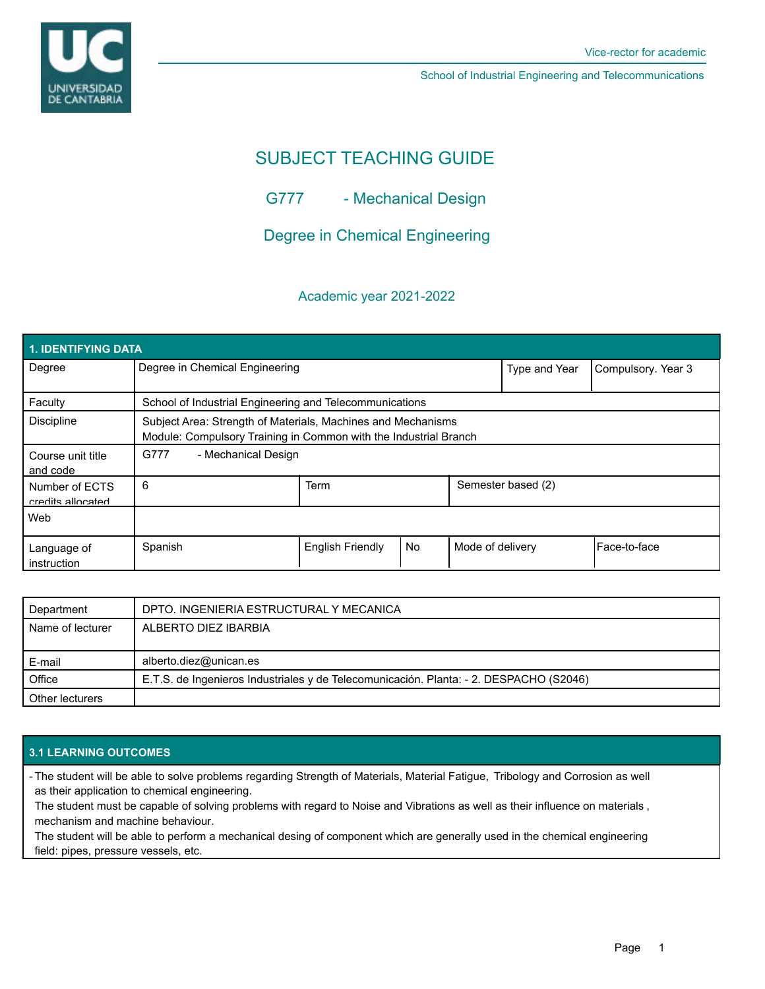

School of Industrial Engineering and Telecommunications

# SUBJECT TEACHING GUIDE

G777 - Mechanical Design

Degree in Chemical Engineering

## Academic year 2021-2022

| <b>1. IDENTIFYING DATA</b>          |                                                                                                                                  |                  |           |                  |                    |                |  |  |  |
|-------------------------------------|----------------------------------------------------------------------------------------------------------------------------------|------------------|-----------|------------------|--------------------|----------------|--|--|--|
| Degree                              | Degree in Chemical Engineering                                                                                                   |                  |           | Type and Year    | Compulsory. Year 3 |                |  |  |  |
| Faculty                             | School of Industrial Engineering and Telecommunications                                                                          |                  |           |                  |                    |                |  |  |  |
| <b>Discipline</b>                   | Subject Area: Strength of Materials, Machines and Mechanisms<br>Module: Compulsory Training in Common with the Industrial Branch |                  |           |                  |                    |                |  |  |  |
| Course unit title<br>and code       | G777<br>- Mechanical Design                                                                                                      |                  |           |                  |                    |                |  |  |  |
| Number of ECTS<br>credits allocated | 6                                                                                                                                | Term             |           |                  | Semester based (2) |                |  |  |  |
| Web                                 |                                                                                                                                  |                  |           |                  |                    |                |  |  |  |
| Language of<br>instruction          | Spanish                                                                                                                          | English Friendly | <b>No</b> | Mode of delivery |                    | l Face-to-face |  |  |  |

| Department       | DPTO. INGENIERIA ESTRUCTURAL Y MECANICA                                                |  |
|------------------|----------------------------------------------------------------------------------------|--|
| Name of lecturer | ALBERTO DIEZ IBARBIA                                                                   |  |
|                  |                                                                                        |  |
| E-mail           | alberto.diez@unican.es                                                                 |  |
| Office           | E.T.S. de Ingenieros Industriales y de Telecomunicación. Planta: - 2. DESPACHO (S2046) |  |
| Other lecturers  |                                                                                        |  |

## **3.1 LEARNING OUTCOMES**

- The student will be able to solve problems regarding Strength of Materials, Material Fatigue, Tribology and Corrosion as well as their application to chemical engineering.

The student must be capable of solving problems with regard to Noise and Vibrations as well as their influence on materials , mechanism and machine behaviour.

The student will be able to perform a mechanical desing of component which are generally used in the chemical engineering field: pipes, pressure vessels, etc.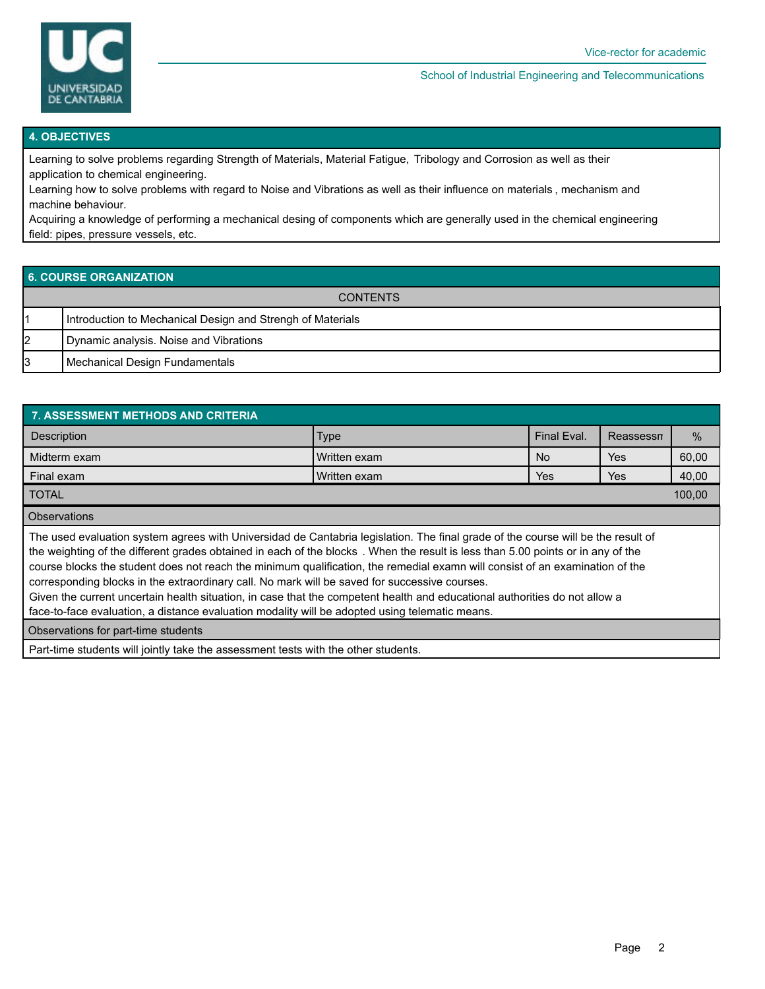

#### School of Industrial Engineering and Telecommunications

#### **4. OBJECTIVES**

Learning to solve problems regarding Strength of Materials, Material Fatigue, Tribology and Corrosion as well as their application to chemical engineering.

Learning how to solve problems with regard to Noise and Vibrations as well as their influence on materials , mechanism and machine behaviour.

Acquiring a knowledge of performing a mechanical desing of components which are generally used in the chemical engineering field: pipes, pressure vessels, etc.

## **6. COURSE ORGANIZATION**

| <b>CONTENTS</b> |                                                            |  |  |  |  |
|-----------------|------------------------------------------------------------|--|--|--|--|
|                 | Introduction to Mechanical Design and Strengh of Materials |  |  |  |  |
| 12              | Dynamic analysis. Noise and Vibrations                     |  |  |  |  |
| 3               | Mechanical Design Fundamentals                             |  |  |  |  |

| <b>7. ASSESSMENT METHODS AND CRITERIA</b>                                                                                                                                                                                                                                                                                                                                                                                                                                                                                                                                                                                                                                                                                            |              |             |            |       |  |  |  |  |  |  |  |
|--------------------------------------------------------------------------------------------------------------------------------------------------------------------------------------------------------------------------------------------------------------------------------------------------------------------------------------------------------------------------------------------------------------------------------------------------------------------------------------------------------------------------------------------------------------------------------------------------------------------------------------------------------------------------------------------------------------------------------------|--------------|-------------|------------|-------|--|--|--|--|--|--|--|
| <b>Description</b>                                                                                                                                                                                                                                                                                                                                                                                                                                                                                                                                                                                                                                                                                                                   | Type         | Final Eval. | Reassessn  | $\%$  |  |  |  |  |  |  |  |
| Midterm exam                                                                                                                                                                                                                                                                                                                                                                                                                                                                                                                                                                                                                                                                                                                         | Written exam |             | <b>Yes</b> | 60,00 |  |  |  |  |  |  |  |
| Final exam                                                                                                                                                                                                                                                                                                                                                                                                                                                                                                                                                                                                                                                                                                                           | Written exam | Yes         | Yes        | 40,00 |  |  |  |  |  |  |  |
| 100,00<br><b>TOTAL</b>                                                                                                                                                                                                                                                                                                                                                                                                                                                                                                                                                                                                                                                                                                               |              |             |            |       |  |  |  |  |  |  |  |
| <b>Observations</b>                                                                                                                                                                                                                                                                                                                                                                                                                                                                                                                                                                                                                                                                                                                  |              |             |            |       |  |  |  |  |  |  |  |
| The used evaluation system agrees with Universidad de Cantabria legislation. The final grade of the course will be the result of<br>the weighting of the different grades obtained in each of the blocks. When the result is less than 5.00 points or in any of the<br>course blocks the student does not reach the minimum qualification, the remedial examn will consist of an examination of the<br>corresponding blocks in the extraordinary call. No mark will be saved for successive courses.<br>Given the current uncertain health situation, in case that the competent health and educational authorities do not allow a<br>face-to-face evaluation, a distance evaluation modality will be adopted using telematic means. |              |             |            |       |  |  |  |  |  |  |  |
| Observations for part-time students                                                                                                                                                                                                                                                                                                                                                                                                                                                                                                                                                                                                                                                                                                  |              |             |            |       |  |  |  |  |  |  |  |
|                                                                                                                                                                                                                                                                                                                                                                                                                                                                                                                                                                                                                                                                                                                                      |              |             |            |       |  |  |  |  |  |  |  |

Part-time students will jointly take the assessment tests with the other students.